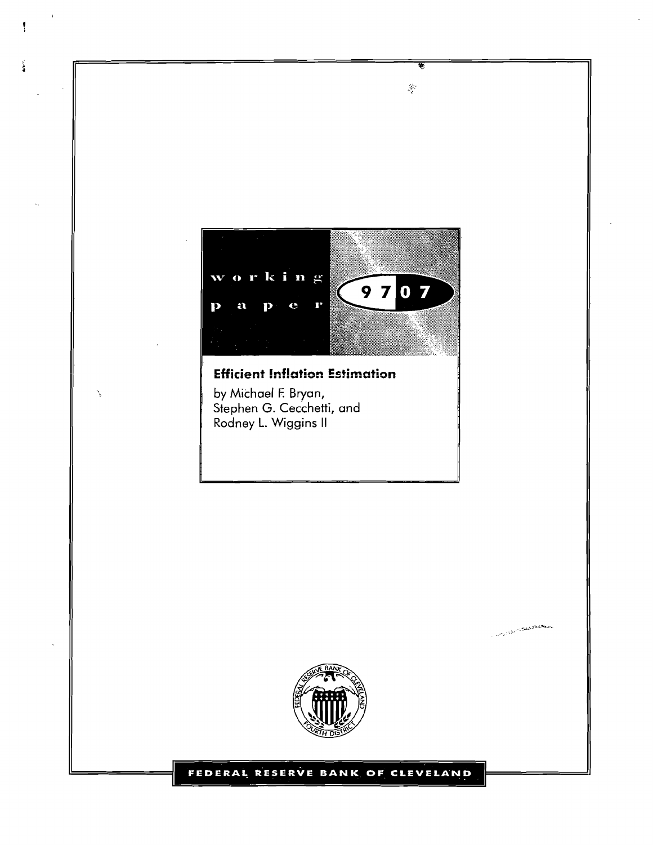

₹

 $\hat{S}^{\prime}$ 

**Efficient Inflation Estimation** 

by Michael F. Bryan, Stephen G. Cecchetti, and Rodney L. **Wiggins** II

Ą

Ã

٦



**Company of the Company of the Company** 

#### FEDERAL RESERVE BANK OF CLEVELAND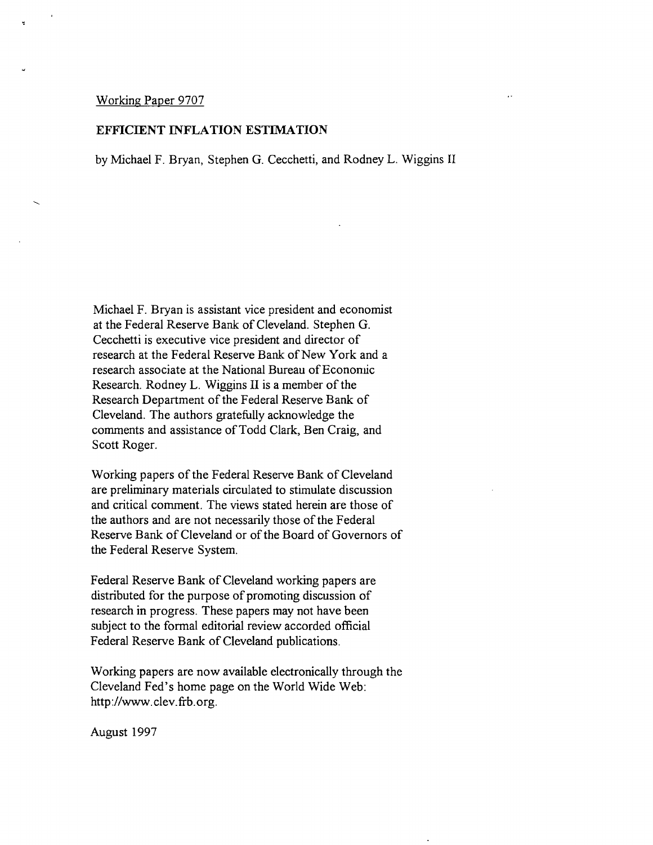#### Working Paper 9707

#### **EFFICIENT INFLATION ESTIMATION**

by Michael F. Bryan, Stephen G. Cecchetti, and Rodney L. Wiggins I1

Michael F. Bryan is assistant vice president and economist at the Federal Reserve Bank of Cleveland. Stephen G. Cecchetti is executive vice president and director of research at the Federal Reserve Bank of New York and a research associate at the National Bureau of Economic Research. Rodney L. Wiggins **I1** is a member of the Research Department of the Federal Reserve Bank of Cleveland. The authors gratefully acknowledge the comments and assistance of Todd Clark, Ben Craig, and Scott Roger.

Working papers of the Federal Reserve Bank of Cleveland are preliminary materials circulated to stimulate discussion and critical comment. The views stated herein are those of the authors and are not necessarily those of the Federal Reserve Bank of Cleveland or of the Board of Governors of the Federal Reserve System.

Federal Reserve Bank of Cleveland working papers are distributed for the purpose of promoting discussion of research in progress. These papers may not have been subject to the formal editorial review accorded official Federal Reserve Bank of Cleveland publications.

Working papers are now available electronically through the Cleveland Fed's home page on the World Wide Web: http://www.clev.frb.org.

August 1997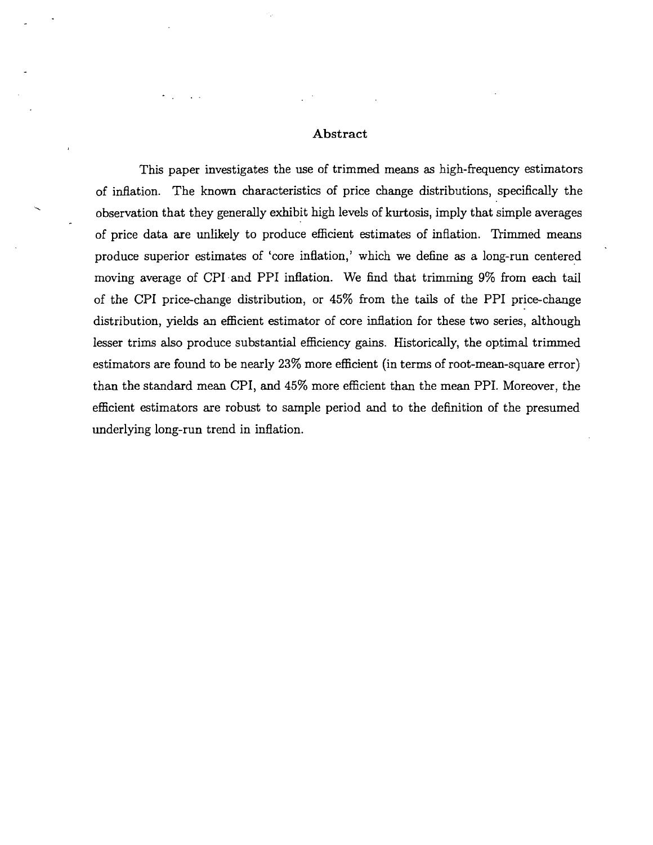#### **Abstract**

This paper investigates the use of trimmed means **as** high-frequency estimators of inflation. The known characteristics of price change distributions, specifically the . observation that they generally exhibit high levels of kurtosis, imply that simple averages of price data are unlikely to produce efficient estimates of inflation. Trimmed means produce superior estimates of 'core inflation,' which we define **as** a long-run centered moving average of CPI and PPI inflation. We find that trimming 9% from each tail of the CPI price-change distribution, or **45%** from the tails of the PPI price-change distribution, yields an efficient estimator of core inflation for these two series, although lesser trims also produce substantial efficiency gains. Historically, the optimal trimmed estimators are found to be nearly **23%** more efficient (in terms of root-mean-square error) than the standard mean CPI, and **45%** more efficient than the mean PPI. Moreover, the efficient estimators are robust to sample period and to the definition of the presumed underlying long-run trend in inflation.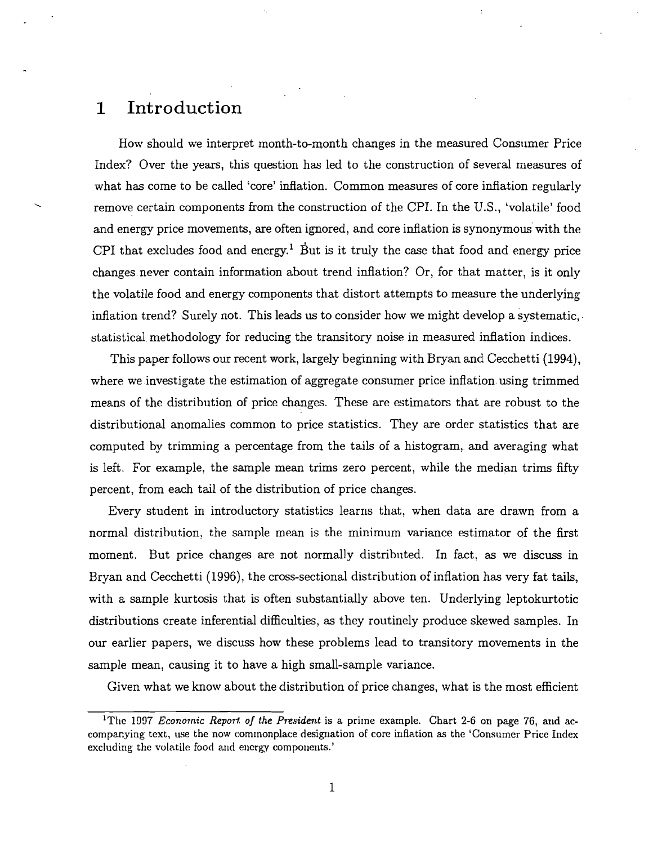# **1** Introduction

How should we interpret month-to-month changes in the measured Consumer Price Index? Over the years, this question has led to the construction of several measures of what has come to be called 'core' inflation. Common measures of core inflation regularly k remove certain components from the construction of the CPI. In the U.S., 'volatile' food and energy price movements, are often ignored, and core inflation is synonymous with the CPI that excludes food and energy.<sup>1</sup> But is it truly the case that food and energy price changes never contain information about trend inflation? Or, for that matter, is it only the volatile food and energy components that distort attempts to measure the underlying inflation trend? Surely not. This leads us to consider how we might develop a systematic, statistical methodology for reducing the transitory noise in measured inflation indices.

This paper follows our recent work, largely beginning with Bryan and Cecchetti (1994), where we investigate the estimation of aggregate consumer price inflation using trimmed means of the distribution of price changes. These are estimators that are robust to the distributional anomalies common to price statistics. They are order statistics that are computed by trimming a percentage from the tails of a histogram, and averaging what is left. For example, the sample mean trims zero percent, while the median trims fifty percent, from each tail of the distribution of price changes.

Every student in introductory statistics learns that, when data are drawn from a normal distribution. the sample mean is the minimum variance estimator of the first moment. But price changes are not normally distributed. In fact. as we discuss in Bryan and Cecchetti (1996), the cross-sectional distribution of inflation has very fat tails, with a sample kurtosis that is often substantially above ten. Underlying leptokurtotic distributions create inferential difficulties, as they routinely produce skewed samples. In our earlier papers, we discuss how these problems lead to transitory movements in the sample mean, causing it to have a high small-sample variance.

Given what we know about the distribution of price changes, what is the most efficient

<sup>&</sup>lt;sup>1</sup>The 1997 *Econornic Report of the President* is a prime example. Chart 2-6 on page 76, and accompanying text, use the now commonplace designation of core inflation as the 'Consumer Price Index excluding the volatile food and energy components.'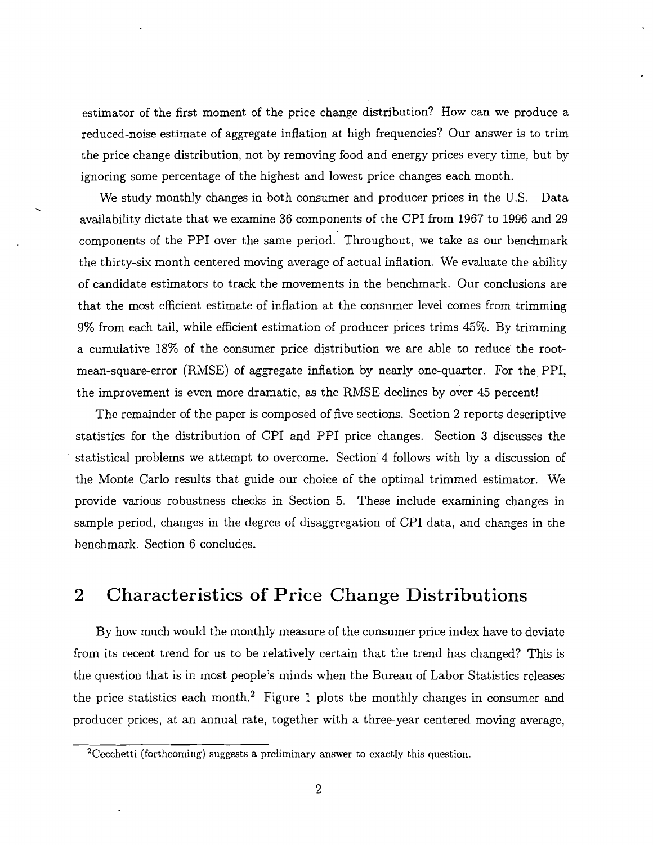estimator of the first moment of the price change distribution? How can we produce a reduced-noise estimate of aggregate inflation at high hequencies? Our answer is to trim the price change distribution, not by removing food and energy prices every time, but by ignoring some percentage of the highest and lowest price changes each month.

-.

We study monthly changes in both consumer and producer prices in the U.S. Data availability dictate that we examine 36 components of the CPI from 1967 to 1996 and 29 components of the PPI over the same period. Throughout, we take as our benchmark the thirty-six month centered moving average of actual inflation. We evaluate the ability of candidate estimators to track the movements in the benchmark. Our conclusions are that the most efficient estimate of inflation at the consumer level comes from trimming 9% from each tail, while efficient estimation of producer prices trims 45%. By trimming a cumulative 18% of the consumer price distribution we are able to reduce the rootmean-square-error (RhfSE) of aggregate inflation by nearly one-quarter. For the PPI, the improvement is even more dramatic, as the RMSE declines by over 45 percent!

The remainder of the paper is composed of five sections. Section 2 reports descriptive statistics for the distribution of CPI and PPI price changes. Section **3** discusses the statistical problems we attempt to overcome. Section 4 follows with by a discussion of the Monte Carlo results that guide our choice of the optimal trimmed estimator. We provide various robustness checks in Section *5.* These include examining changes in sample period, changes in the degree of disaggregation of CPI data, and changes in the benchmark. Section 6 concludes.

# **2** Characteristics of Price Change Distributions

By how much would the monthly measure of the consumer price index have to deviate from its recent trend for us to be relatively certain that the trend has changed? This is the question that is in most people's minds when the Bureau of Labor Statistics releases the price statistics each month.<sup>2</sup> Figure 1 plots the monthly changes in consumer and producer prices, at an annual rate, together with a three-year centered moving average,

<sup>&</sup>lt;sup>2</sup>Cecchetti (forthcoming) suggests a preliminary answer to exactly this question.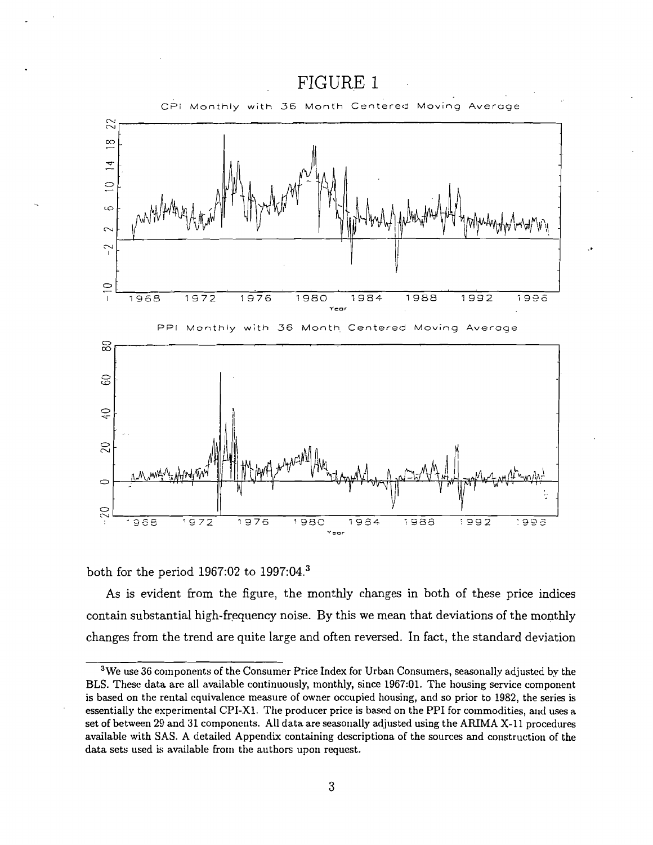

both for the period 1967:02 to 1997:04. $^3$ 

As is evident from the figure, the monthly changes in both of these price indices contain substantial high-frequency noise. By this we mean that deviations of the monthly changes from the trend are quite large and often reversed. In fact, the standard deviation

 $3$ We use 36 components of the Consumer Price Index for Urban Consumers, seasonally adjusted by the BLS. These data are all available continuously, monthly, since 1967:01. The housing service component is based on the rerital equivalence measure of owner occupied housing, and so prior to 1982, the series is essentially thc experimerltal CPI-XI. The producer price is bascd on the PPI for commodities, and uses a set of between 29 and 31 componerits. All data are seasonally adjusted using the AFUMA X-11 procedures available with SAS. A detailed Appendix containing descriptiona of the sources and construction of the data sets used is available from the authors upon request.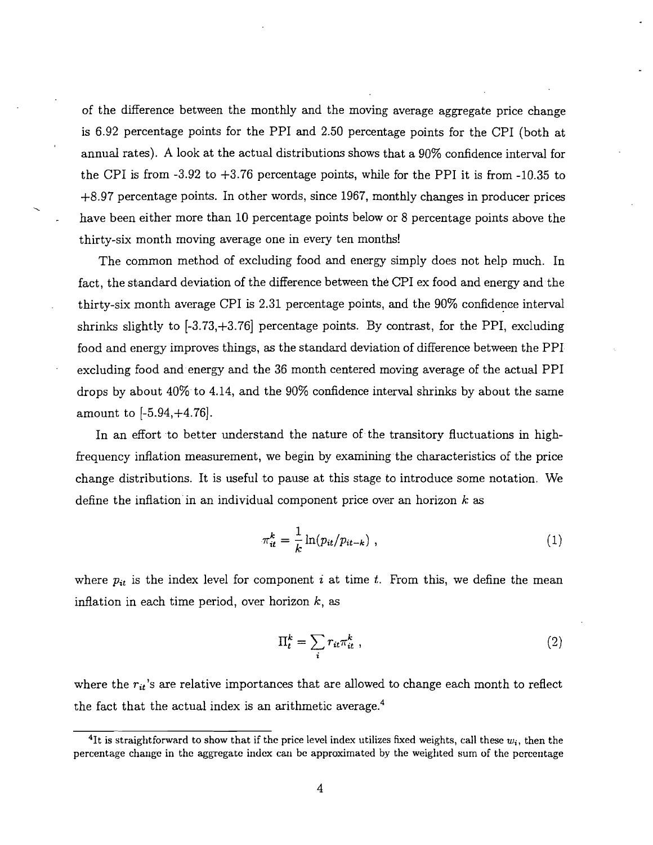of the difference between the monthly and the moving average aggregate price change is 6.92 percentage points for the PPI and 2.50 percentage points for the CPI (both at annual rates). A look at the actual distributions shows that a 90% confidence interval for the CPI is from  $-3.92$  to  $+3.76$  percentage points, while for the PPI it is from  $-10.35$  to +8.97 percentage points. In other words, since 1967, monthly changes in producer prices \ have been either more than 10 percentage points below or 8 percentage points above the thirty-six month moving average one in every ten months!

The common method of excluding food and energy simply does not help much. In fact, the standard deviation of the difference between the CPI ex food and energy and the thirty-six month average CPI is 2.31 percentage points, and the 90% confidence interval shrinks slightly to [-3.73,+3.76] percentage points. By contrast, for the PPI, excluding food and energy improves things, as the standard deviation of difference between the PPI excluding food and energy and the 36 month centered moving average of the actual PPI drops by about 40% to 4.14, and the 90% confidence interval shrinks by about the same amount to [-5.94,+4.76].

In an effort to better understand the nature of the transitory fluctuations in highfrequency inflation measurement, we begin by examining the characteristics of the price change distributions. It is useful to pause at this stage to introduce some notation. We define the inflation in an individual component price over an horizon **k** as

$$
\pi_{it}^k = \frac{1}{k} \ln(p_{it}/p_{it-k}) \tag{1}
$$

where  $p_{it}$  is the index level for component *i* at time *t*. From this, we define the mean inflation in each time period, over horizon **k,** as

$$
\Pi_t^k = \sum_i r_{it} \pi_{it}^k \tag{2}
$$

where the  $r_{it}$ 's are relative importances that are allowed to change each month to reflect the fact that the actual index is an arithmetic average. $4$ e imports<br>ndex is an<br>www.that.ift

<sup>&</sup>lt;sup>4</sup>It is straightforward to show that if the price level index utilizes fixed weights, call these  $w_i$ , then the percentage change in the aggregate index can be approximated by the weighted sum of the percentage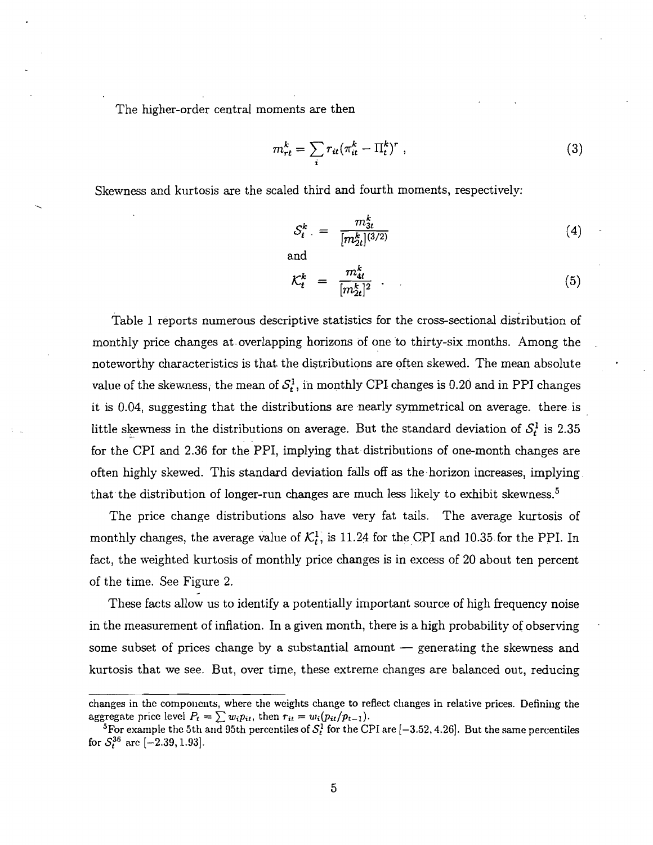The higher-order central moments are then

$$
m_{rt}^k = \sum_i r_{it} (\pi_{it}^k - \Pi_t^k)^r , \qquad (3)
$$

Skewness and kurtosis are the scaled third and fourth moments, respectively:

and

$$
S_t^k = \frac{m_{3t}^k}{[m_{2t}^k]^{(3/2)}}\tag{4}
$$

$$
\mathcal{K}_t^k = \frac{m_{4t}^k}{[m_{2t}^k]^2} \tag{5}
$$

Table 1 reports numerous descriptive statistics for the cross-sectional distribution of monthly price changes at overlapping horizons of one to thirty-six months. Among the noteworthy characteristics is that the distributions are often skewed. The mean absolute value of the skewness, the mean of  $S_t^1$ , in monthly CPI changes is 0.20 and in PPI changes it is 0.04, suggesting that the distributions are nearly symmetrical on average. there is little skewness in the distributions on average. But the standard deviation of  $S_t^1$  is 2.35 for the CPI and 2.36 for the PPI, implying that distributions of one-month changes are often highly skewed. This standard deviation falls off as the. horizon increases, implying that the distribution of longer-run changes are much less likely to exhibit skewness.<sup>5</sup>

The price change distributions also have very fat tails. The average kurtosis of monthly changes, the average value of  $\mathcal{K}_t^1$ , is 11.24 for the CPI and 10.35 for the PPI. In fact, the xeighted kurtosis of monthly price changes is in excess of 20 about ten percent of the time. See Figure 2.

These facts allow us to identify a potentially important source of high frequency noise in the measurement of inflation. In a given month, there is a high probability of observing some subset of prices change by a substantial amount  $-$  generating the skewness and kurtosis that we see. But, over time, these extreme changes are balanced out, reducing

changes in the components, where the weights change to reflect changes in relative prices. Defining the aggregate price level  $P_t = \sum w_i p_{it}$ , then  $r_{it} = w_i (p_{it}/p_{t-1}).$ 

<sup>&</sup>lt;sup>5</sup> For example the 5th and 95th percentiles of  $S_t^1$  for the CPI are  $[-3.52, 4.26]$ . But the same percentiles for  $S_t^{36}$  are  $[-2.39, 1.93]$ .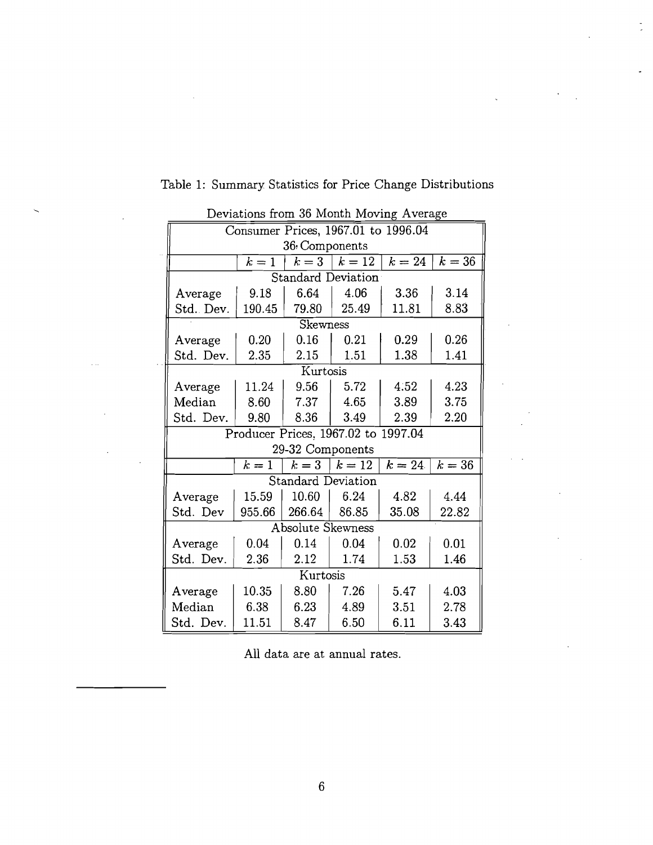| Deviations from 36 Month Moving Average |                                     |                  |                           |        |                     |
|-----------------------------------------|-------------------------------------|------------------|---------------------------|--------|---------------------|
|                                         | Consumer Prices, 1967.01 to 1996.04 |                  |                           |        |                     |
|                                         |                                     | 36 Components    |                           |        |                     |
|                                         | $k=1$                               | $k=3$            | $k=12$                    | $k=24$ | $\overline{k} = 36$ |
|                                         |                                     |                  | <b>Standard Deviation</b> |        |                     |
| Average                                 | 9.18                                | 6.64             | 4.06                      | 3.36   | 3.14                |
| Std. Dev.                               | 190.45                              | 79.80            | 25.49                     | 11.81  | 8.83                |
|                                         |                                     | Skewness         |                           |        |                     |
| Average                                 | 0.20                                | 0.16             | 0.21                      | 0.29   | 0.26                |
| Std. Dev.                               | 2.35                                | 2.15             | 1.51                      | 1.38   | 1.41                |
|                                         |                                     | Kurtosis         |                           |        |                     |
| $A$ verage                              | 11.24                               | 9.56             | 5.72                      | 4.52   | 4.23                |
| Median                                  | 8.60                                | 7.37             | 4.65                      | 3.89   | 3.75                |
| Std. Dev.                               | 9.80                                | 8.36             | 3.49                      | 2.39   | 2.20                |
| Producer Prices, 1967.02 to 1997.04     |                                     |                  |                           |        |                     |
|                                         |                                     | 29-32 Components |                           |        |                     |
|                                         | $k=1$                               | $k=3$            | $k=12$                    | $k=24$ | $k=36$              |
| <b>Standard Deviation</b>               |                                     |                  |                           |        |                     |
| Average                                 | 15.59                               | 10.60            | 6.24                      | 4.82   | 4.44                |
| Std. Dev                                | 955.66                              | 266.64           | 86.85                     | 35.08  | 22.82               |
| <b>Absolute Skewness</b>                |                                     |                  |                           |        |                     |
| Average                                 | 0.04                                | 0.14             | 0.04                      | 0.02   | 0.01                |
| Std. Dev.                               | 2.36                                | 2.12             | 1.74                      | 1.53   | 1.46                |
| Kurtosis                                |                                     |                  |                           |        |                     |
| Average                                 | 10.35                               | 8.80             | 7.26                      | 5.47   | 4.03                |
| Median                                  | 6.38                                | 6.23             | 4.89                      | 3.51   | 2.78                |
| Std. Dev.                               | 11.51                               | 8.47             | 6.50                      | 6.11   | 3.43                |

 $\ddot{\phantom{a}}$ 

 $\omega = 1$ 

Table 1: Summary Statistics for Price Change Distributions

i.

 $\ddot{\phantom{a}}$ 

 $\hat{\mathcal{L}}$  is

 $\sim$  .

All data are at annual rates.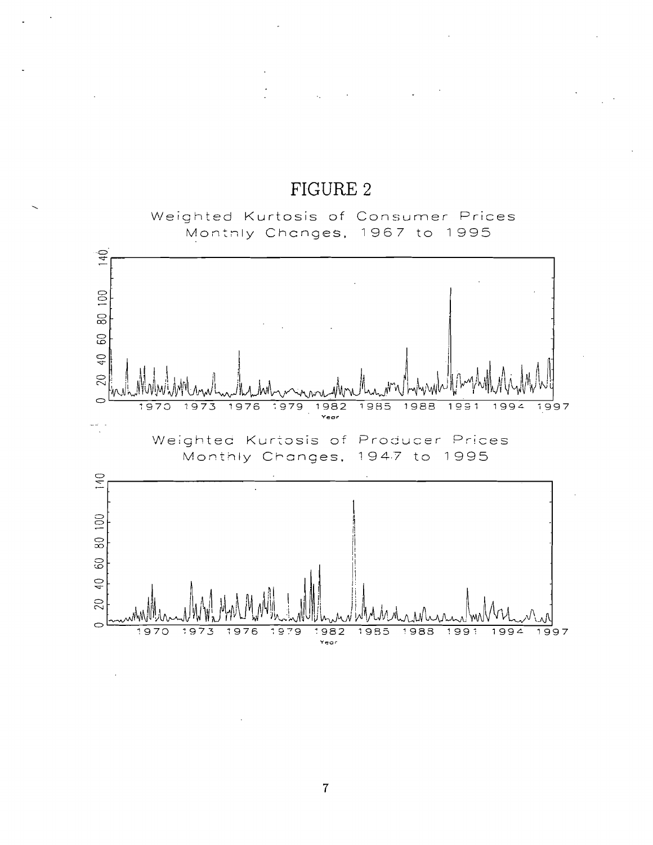# FIGURE 2

 $\mathcal{L}_{\mathcal{L}}$ 

Weighted Kurtosis of Consumer Prices Montnly Chcnges, 1967 to 1995



 $\overline{7}$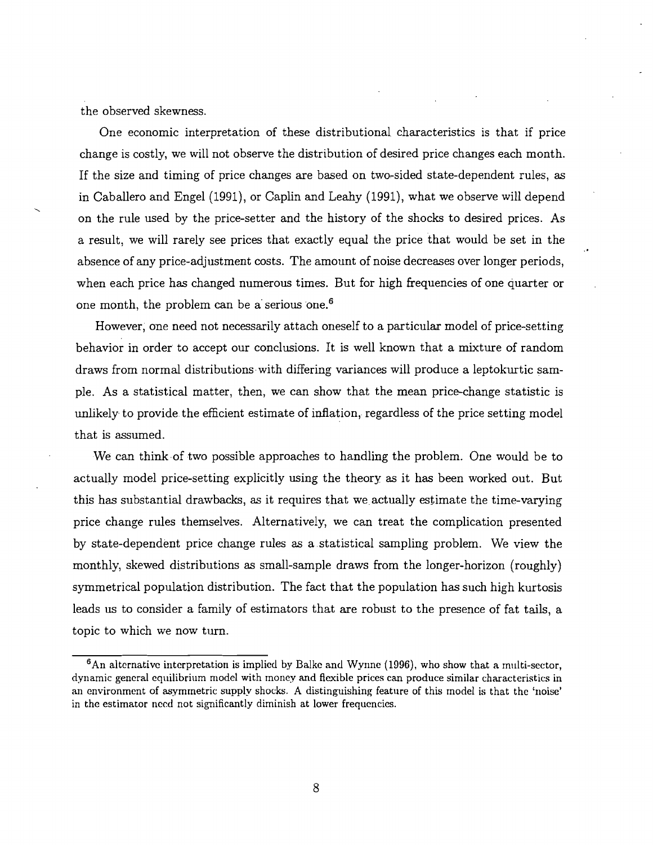the observed skewness.

One economic interpretation of these distributional. characteristics is that if price change is costly, we will not observe the distribution of desired price changes each month. If the size and timing of price changes are based on two-sided state-dependent rules, as in Caballero and Engel (1991), or Caplin and Leahy (1991), what we observe will depend on the rule used by the price-setter and the history of the shocks to desired prices. As a result, we will rarely see prices that exactly equal the price that would be set in the absence of any price-adjustment costs. The amount of noise decreases over longer periods, when each price has changed numerous times. But for high frequencies of one quarter or one month, the problem can be a'serious one.6

However, one need not necessarily attach oneself to a particular model of price-setting. behavior in order to accept our conclusions. It is well known that a mixture of random draws from normal distributions with differing variances will produce a leptokurtic sample. As a statistical matter, then, we can show that the mean price-change statistic is unlikely to provide the efficient estimate of inflation, regardless of the price setting model that is assumed.

We can think of two possible approaches to handling the problem. One would be to actually model price-setting explicitly using the theory as it has been worked out. But this has substantial drawbacks, as it requires that we actually estimate the time-varying price change rules themselves. alternative!^, we can treat the complication presented by state-dependent price change rules as a statistical sampling problem. We view the monthly, skewed distributions as small-sample draws from the longer-horizon (roughly) symmetrical population distribution. The fact that the population has such high kurtosis leads us to consider a family of estimators that are robust to the presence of fat tails, a topic to which we now turn.

 $6$ An alternative interpretation is implied by Balke and Wynne (1996), who show that a multi-sector, dynamic general equilibrium model with money and flexible prices can produce similar characteristics in an environment of asymmetric supply shocks. A distinguishing feature of this model is that the 'noise' in the estimator need not significantly diminish at lower frequencies.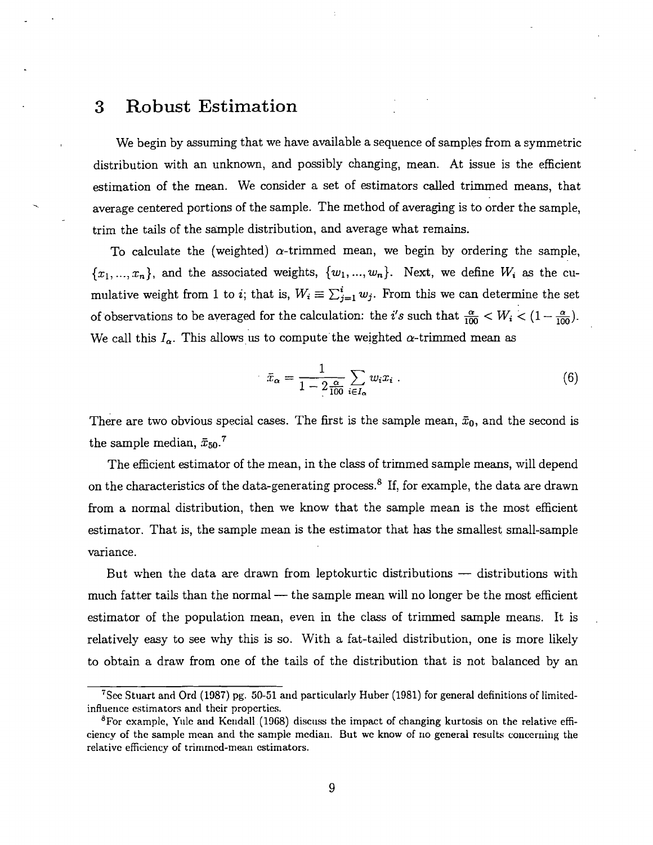# **3** Robust Estimation

We begin by assuming that we have available a sequence of samples from a symmetric distribution with an unknown, and possibly changing, mean. At issue is the efficient estimation of the mean. We consider a set of estimators called trimmed means, that average centered portions of the sample. The method of averaging is to order the sample, trim the tails of the sample distribution, and average what remains.

To calculate the (weighted)  $\alpha$ -trimmed mean, we begin by ordering the sample,  ${x_1, ..., x_n}$ , and the associated weights,  ${w_1, ..., w_n}$ . Next, we define  $W_i$  as the cumulative weight from 1 to *i*; that is,  $W_i \equiv \sum_{j=1}^{i} w_j$ . From this we can determine the set of observations to be averaged for the calculation: the *i's* such that  $\frac{\alpha}{100} < W_i < (1 - \frac{\alpha}{100})$ . We call this  $I_{\alpha}$ . This allows us to compute the weighted  $\alpha$ -trimmed mean as

$$
\bar{x}_{\alpha} = \frac{1}{1 - 2\frac{\alpha}{100}} \sum_{i \in I_{\alpha}} w_i x_i \tag{6}
$$

There are two obvious special cases. The first is the sample mean,  $\bar{x}_0$ , and the second is the sample median,  $\bar{x}_{50}$ .<sup>7</sup>

The efficient estimator of the mean, in the class of trimmed sample means, will depend on the characteristics of the data-generating process.<sup>8</sup> If, for example, the data are drawn from a normal distribution, then we know that the sample mean is the most efficient estimator. That is, the sample mean is the estimator that has the smallest small-sample variance.

iance.<br>But when the data are drawn from leptokurtic distributions — distributions with But when the data are drawn from leptokurtic distributions  $-$  distributions with much fatter tails than the normal  $-$  the sample mean will no longer be the most efficient estimator of the population mean, even in the class of trimmed sample means. It is relatively easy to see why this is so. With a fat-tailed distribution, one is more likely to obtain a draw from one of the tails of the distribution that is not balanced by an

<sup>&</sup>lt;sup>7</sup>See Stuart and Ord (1987) pg. 50-51 and particularly Huber (1981) for general definitions of limitedinfluence estimators and their properties.

 $\rm{^8}$ For cxample, Yulc and Kendall (1968) discuss the impact of changing kurtosis on the relative efficiency of the sample mean and the sample median. But we know of 110 general results concerning the relativc efficiency of trirnrncd-mean cstirnators.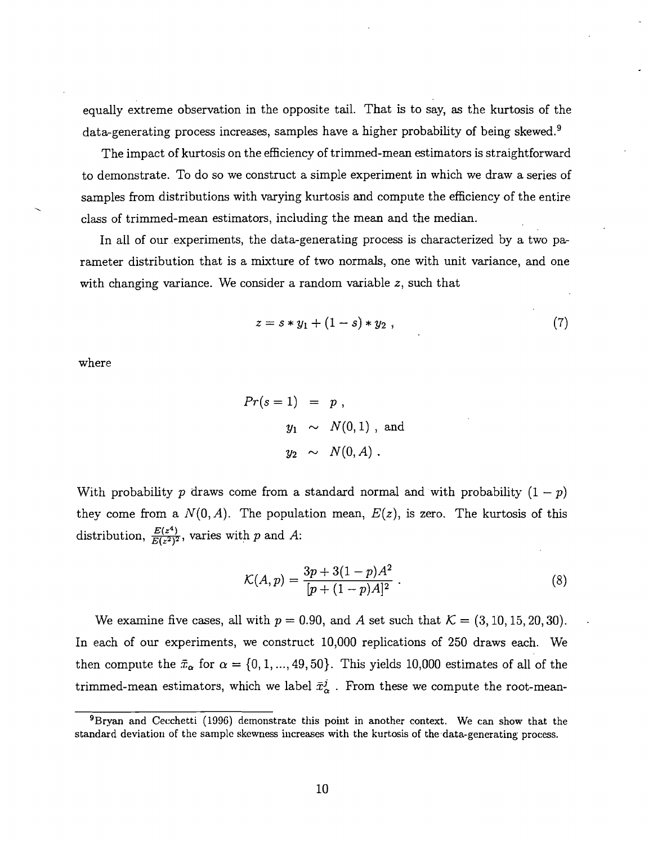equally extreme observation in the opposite tail. That is to say, as the kurtosis of the data-generating process increases, samples have a higher probability of being skewed. $^{9}$ 

The impact of kurtosis on the efficiency of trimmed-mean estimators is straightforward to demonstrate. To do so we construct a simple experiment in which we draw a series of samples from distributions with varying kurtosis and compute the efficiency of the entire class of trimmed-mean estimators, including the mean and the median.

In all of our experiments, the data-generating process is characterized by a two parameter distribution that is a mixture of two normals, one with unit variance, and one with changing variance. We consider a random variable  $z$ , such that

$$
z = s * y_1 + (1 - s) * y_2 , \t\t(7)
$$

where

$$
Pr(s = 1) = p,
$$
  

$$
y_1 \sim N(0, 1), \text{ and}
$$
  

$$
y_2 \sim N(0, A).
$$

With probability p draws come from a standard normal and with probability  $(1 - p)$ they come from a  $N(0, A)$ . The population mean,  $E(z)$ , is zero. The kurtosis of this distribution,  $\frac{E(z^4)}{E(z^2)^2}$ , varies with p and A:

$$
\mathcal{K}(A, p) = \frac{3p + 3(1 - p)A^2}{[p + (1 - p)A]^2} \,. \tag{8}
$$

We examine five cases, all with  $p = 0.90$ , and A set such that  $\mathcal{K} = (3, 10, 15, 20, 30)$ . In each of our experiments, we construct 10,000 replications of 250 draws each. We then compute the  $\bar{x}_{\alpha}$  for  $\alpha = \{0, 1, ..., 49, 50\}$ . This yields 10,000 estimates of all of the trimmed-mean estimators, which we label  $\bar{x}^j_\alpha$ . From these we compute the root-mean-

 ${}^{9}$ Bryan and Cecchetti (1996) demonstrate this point in another context. We can show that the standard deviation of the sample skewness increases with the kurtosis of the data-generating process.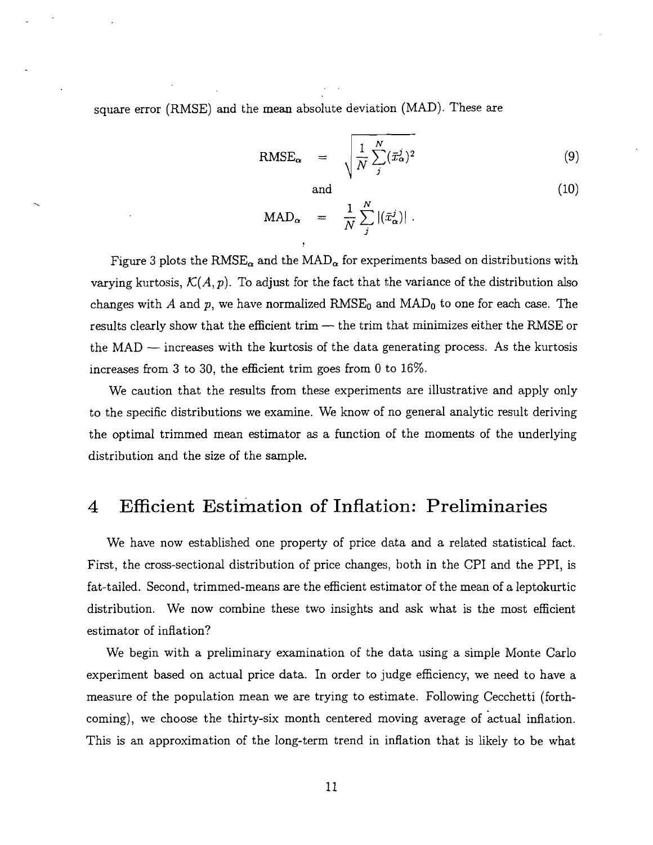square error (RMSE) and the mean absolute deviation (MAD). These are

$$
RMSE_{\alpha} = \sqrt{\frac{1}{N} \sum_{j}^{N} (\bar{x}_{\alpha}^{j})^{2}}
$$
(9)

 $(10)$ 

and

and  

$$
MAD_{\alpha} = \frac{1}{N} \sum_{j}^{N} |(\bar{x}_{\alpha}^{j})|.
$$

Figure 3 plots the RMSE<sub> $\alpha$ </sub> and the MAD<sub> $\alpha$ </sub> for experiments based on distributions with varying kurtosis,  $\mathcal{K}(A, p)$ . To adjust for the fact that the variance of the distribution also changes with A and p, we have normalized  $RMSE_0$  and  $MAD_0$  to one for each case. The results clearly show that the efficient trim — the trim that minimizes either the RMSE or results clearly show that the efficient trim  $-$  the trim that minimizes either the RMSE or<br>the MAD  $-$  increases with the kurtosis of the data generating process. As the kurtosis increases from **3** to 30, the efficient trim goes from 0 to 16%.

We caution that the results from these experiments are illustrative and apply only to the specific distributions we examine. We know of no general analytic result deriving the optimal trimmed mean estimator as a function of the moments of the underlying distribution and the size of the sample.

#### Efficient Estimation of Inflation: Preliminaries  $\overline{4}$

We have now established one property of price data and a related statistical fact. First, the cross-sectional distribution of price changes, both in the CPI and the PPI, is fat-tailed. Second, trimmed-means are the efficient estimator of the mean of a leptokurtic distribution. We now combine these two insights and ask what is the most efficient estimator of inflation?

We begin with a preliminary examination of the data using a simple Monte Carlo experiment based on actual price data. In order to judge efficiency, we need to have a measure of the population mean we are trying to estimate. Following Cecchetti (forthcoming), we choose the thirty-six month centered moving average of actual inflation. This is an approximation of the long-term trend in inflation that is likely to be what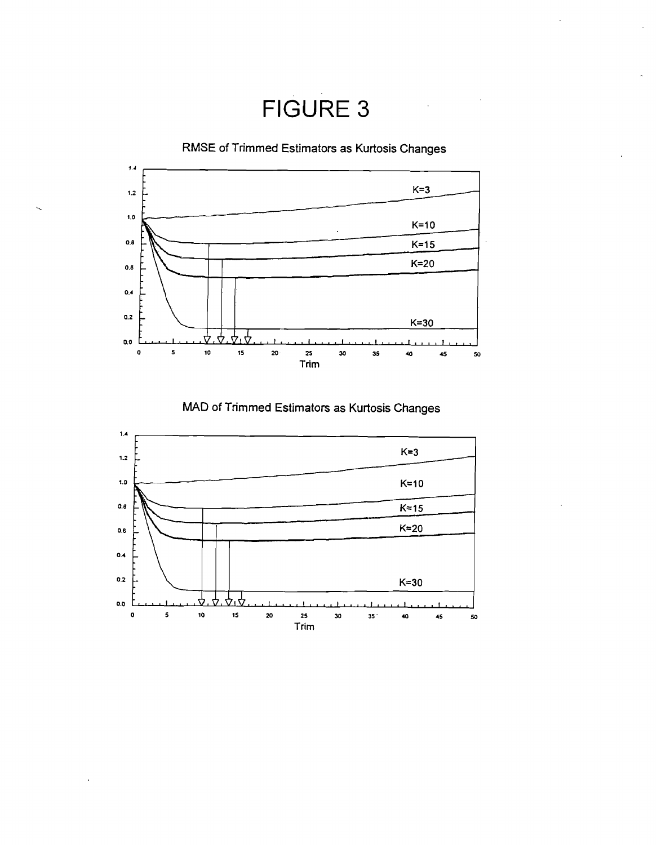FIGURE **3** 

RMSE of Trimmed Estimators **as** Kurtosis Changes



MAD of Trimmed Estimators as Kurtosis Changes

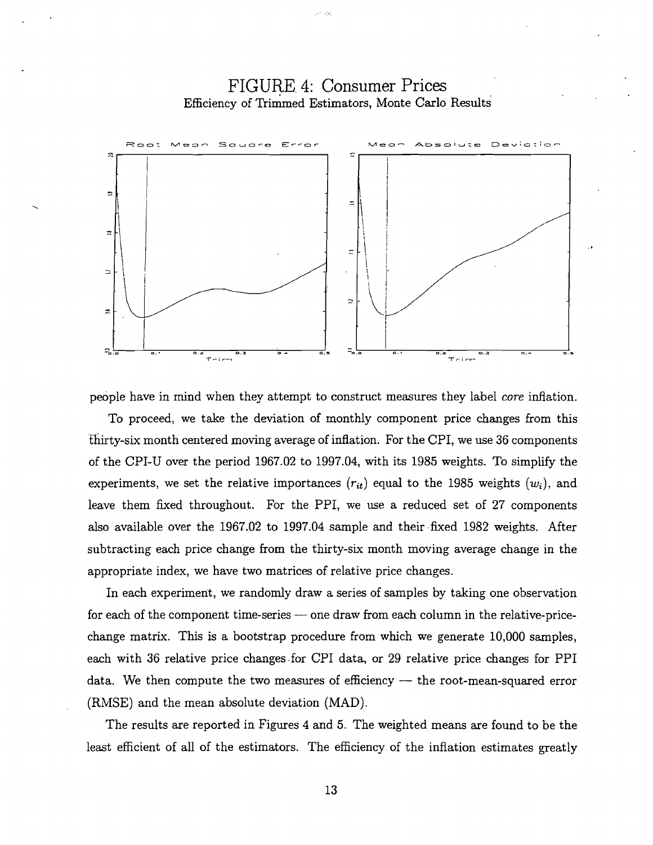# FIGURE. 4: Consumer Prices Efficiency of Trimmed Estimators, Monte Carlo Results

20.33



people have in mind when they attempt to construct measures they label core inflation.

To proceed, we take the deviation of monthly component price changes from this thirty-six month centered moving average of inflation. For the CPI, we use 36 components of the CPI-U over the period 1967.02 to 1997.04, with its 1985 weights. To simplify the experiments, we set the relative importances  $(r_{it})$  equal to the 1985 weights  $(w_i)$ , and leave them fixed throughout. For the PPI, we use a reduced set of 27 components also available over the 1967.02 to 1997.04 sample and their fixed 1982 weights. After subtracting each price change from the thirty-six month moving average change in the appropriate index, we have two matrices of relative price changes.

In each experiment, we randomly draw a series of samples by taking one observation for each of the component time-series - one draw from each column in the relative-pricechange matrix. This is a bootstrap procedure from which we generate 10,000 samples, each with 36 relative price changes-for CPI data, or 29 relative price changes for PPI data. We then compute the two measures of efficiency  $-$  the root-mean-squared error (RMSE) and the mean absolute deviation (MAD).

The results are reported in Figures 4 and 5. The weighted means are found to be the least efficient of all of the estimators. The efficiency of the inflation estimates greatly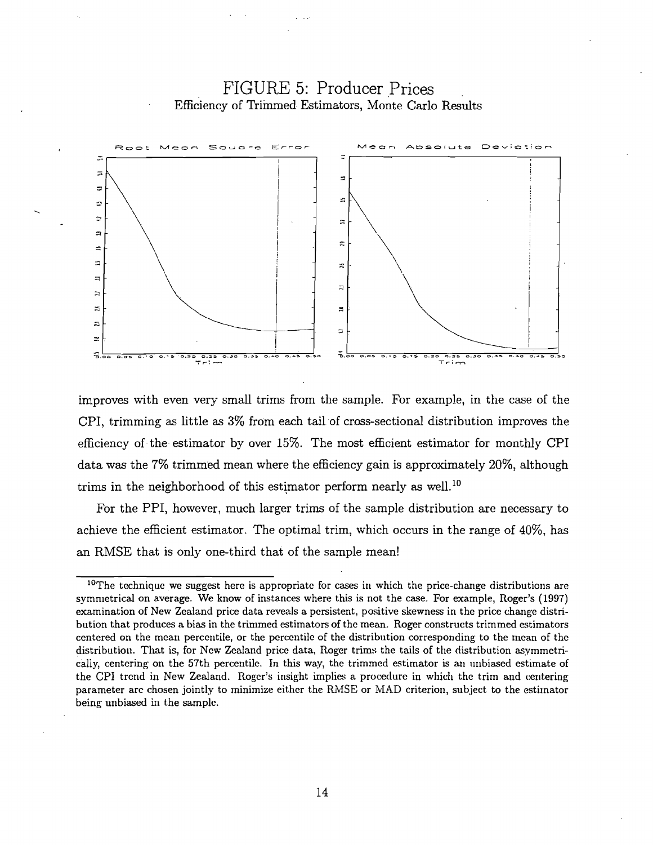

# FIGURE 5: Producer Prices Efficiency of Trimmed Estimators, Monte Carlo Results

improves with even very small trims from the sample. For example, in the case of the CPI, trimming **as** little **as 3%** from each tail of cross-sectional distribution improves the efficiency of the estimator by over 15%. The most efficient estimator for monthly CPI data was the 7% trimmed mean where the efficiency gain is approximately 20%, although trims in the neighborhood of this estimator perform nearly as well.<sup>10</sup>

For the PPI, however, much larger trims of the sample distribution are necessary to achieve the efficient estimator. The optimal trim, which occurs in the range of 40%, has an RMSE that is only one-third that of the sample mean!

 $10$ The technique we suggest here is appropriate for cases in which the price-change distributions are symnietrical on average. We know of instances where this is not the case. For example, Roger's (1997) examination of New Zealand price data reveals a persistent, positive skewness in the price change distribution that produces a bias in the trinimed estimators of the mean. Roger constructs trimmed estimators centered on the mean percentile, or the percentile of the distribution corresponding to the mean of the distribution. That is, for New Zealand price data, Roger trims the tails of the distribution asymmetrically, centering on the 57th percentile. In this way, the trimmed estimator is an unbiased estimate of the CPI trend in New Zealand. Roger's insight implies a procedure in which the trim and centering parameter are chosen jointly to minimize either the RMSE or MAD criterion, subject to the estimator being unbiased in the sample.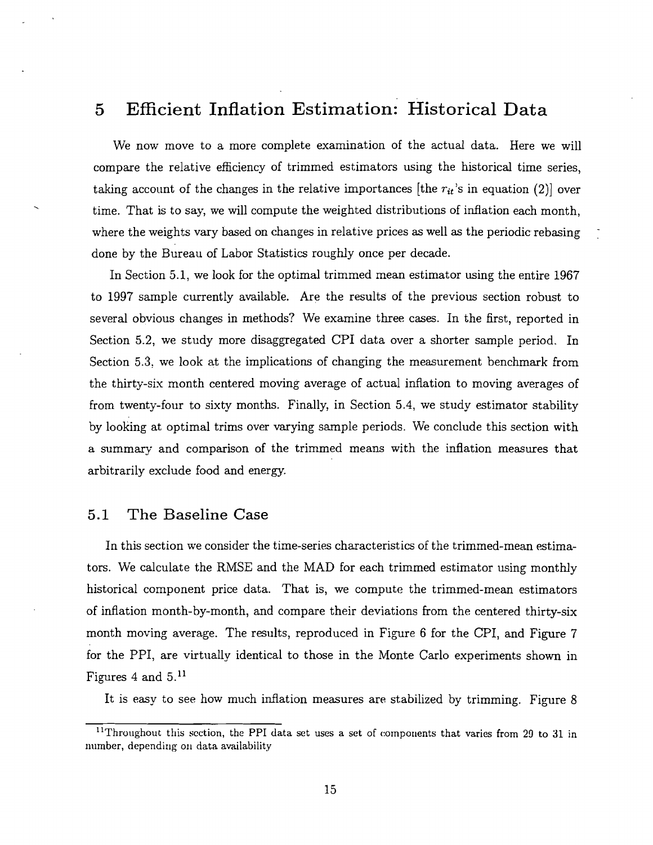#### Efficient Inflation Estimation: Historical Data  $\overline{5}$

We now move to a more complete examination of the actual data. Here we will compare the relative efficiency of trimmed estimators using the historical time series, taking account of the changes in the relative importances [the  $r_{it}$ 's in equation (2)] over taking account of the changes in the relative importances [the  $r_{it}$ 's in equation (2)] over<br>time. That is to say, we will compute the weighted distributions of inflation each month, where the weights vary based on changes in relative prices as well as the periodic rebasing done by the Bureau of Labor Statistics roughly once per decade.

In Section 5.1, we look for the optimal trimmed mean estimator using the entire 1967 to 1997 sample currently available. Are the results of the previous section robust to several obvious changes in methods? We examine three cases. In the first, reported in Section 5.2, we study more disaggregated CPI data over a shorter sample period. In Section 5.3. we look at the implications of changing the measurement benchmark from the thirty-six month centered moving average of actual inflation to moving averages of from twenty-four to sixty months. Finally, in Section 5.4, we study estimator stability by looking at optimal trims over varying sample periods. We conclude this section with a summary and comparison of the trimmed means with the inflation measures that arbitrarily exclude food and energy.

### 5.1 The Baseline Case

In this section we consider the time-series characteristics of the trimmed-mean estimators. We calculate the RMSE and the MAD for each trimmed estimator using monthly historical component price data. That is, we compute the trimmed-mean estimators of inflation month-by-month, and compare their deviations from the centered thirty-six month moving average. The results, reproduced in Figure 6 for the CPI, and Figure 7 for the PPI, are virtually identical to those in the Monte Carlo experiments shown in Figures 4 and  $5.11$ 

It is easy to see how much inflation measures are stabilized by trimming. Figure 8

<sup>&</sup>lt;sup>11</sup>Throughout this section, the PPI data set uses a set of components that varies from 29 to 31 in number, depending on data availability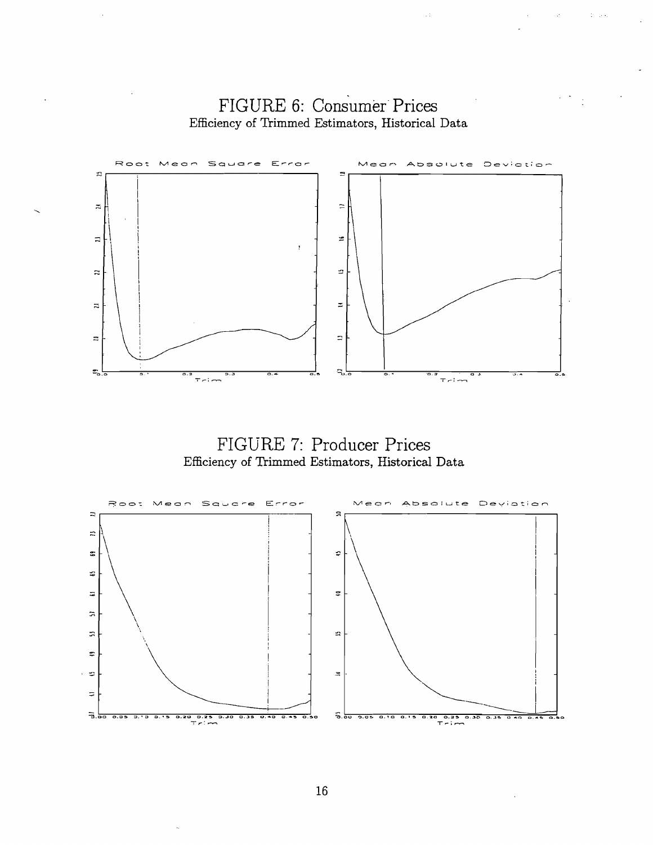

 $\mathbb{R}^2$ 

Sales Contractor

 $\mathcal{L}^{\text{max}}$ 





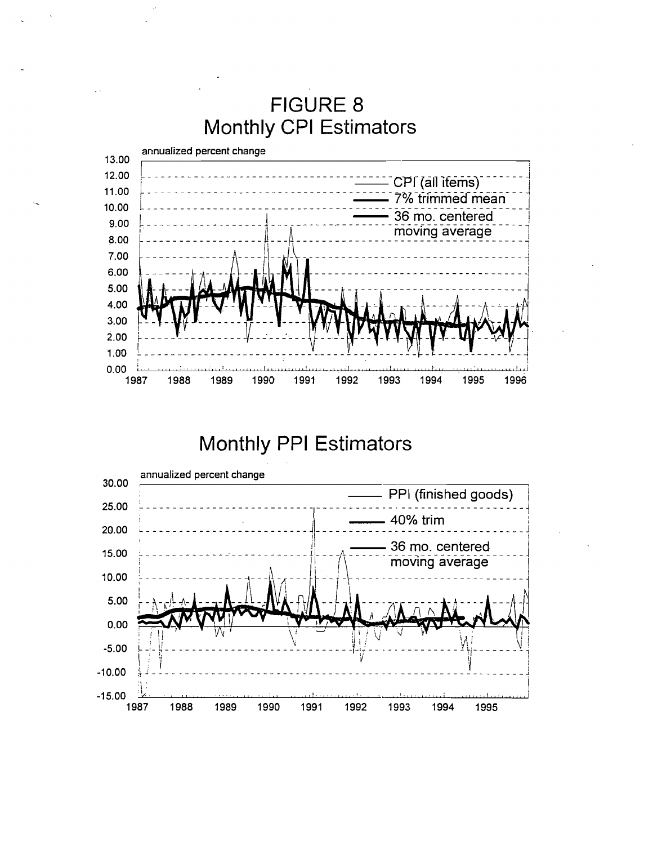

# Monthly PPI Estimators

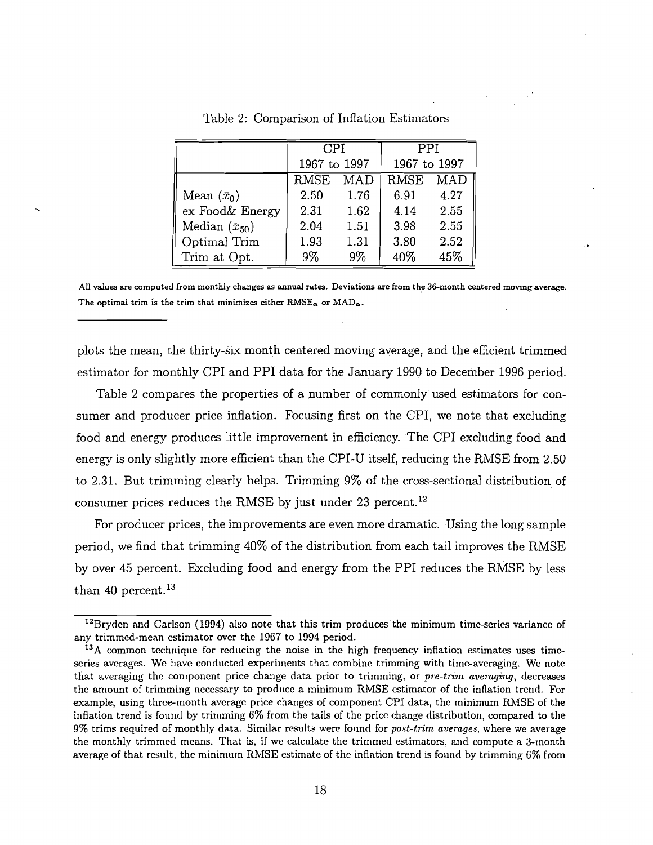|                         | <b>CPI</b>   |       | PPI          |            |
|-------------------------|--------------|-------|--------------|------------|
|                         | 1967 to 1997 |       | 1967 to 1997 |            |
|                         | <b>RMSE</b>  | MAD   | <b>RMSE</b>  | <b>MAD</b> |
| Mean $(\bar{x}_0)$      | 2.50         | 1.76  | 6.91         | 4.27       |
| ex Food& Energy         | 2.31         | 1.62  | 4.14         | 2.55       |
| Median $(\bar{x}_{50})$ | 2.04         | 1.51  | 3.98         | 2.55       |
| Optimal Trim            | 1.93         | 1.31  | 3.80         | 2.52       |
| Trim at Opt.            | 9%           | $9\%$ | 40%          | 45%        |

Table 2: Comparison of Inflation Estimators

**AU values are computed from monthly changes as annual rates. Deviations are from the 36month centered moving average.**  The optimal trim is the trim that minimizes either  $RMSE_{\alpha}$  or  $MAD_{\alpha}$ .

plots the mean, the thirty-six month centered moving average, and the efficient trimmed estimator for monthly CPI and PPI data for the January **1990** to December **1996** period.

Table **2** compares the properties of a number of commonly used estimators for consumer and producer price inflation. Focusing first on the CPI, we note that excluding food and energy produces little improvement in efficiency. The CPI excluding food and energy is only slightly more efficient than the CPI-U itself, reducing the RMSE from 2.50 to **2.31.** But trimming clearly helps. Trimming **9%** of the cross-sectional distribution of consumer prices reduces the RMSE by just under 23 percent.<sup>12</sup>

For producer prices, the improvements are even more dramatic. Using the long sample period, we find that trimming **40%** of the distribution from each tail improves the RMSE by over **45** percent. Excluding food and energy from the PPI reduces the RMSE by less than **40** percent. **l3** 

<sup>&</sup>lt;sup>12</sup>Bryden and Carlson (1994) also note that this trim produces the minimum time-series variance of any trimmed-mean estimator ovcr the **1967** to **1994** period.

 $13A$  common technique for reducing the noise in the high frequency inflation estimates uses timeseries averages. We have conducted experiments that combine trimming with timc-averaging. We note that averaging the component price change data prior to trimming, or  $pre-trim average$ , decreases the amount of trimming necessary to produce a minimum RMSE estimator of the inflation trend. For example, using thrce-month avcragc price changes of component CPI data, the minimum RMSE of the inflation trend is found by trimming *6%* from the tails of thc pricc change distribution, compared to the 9% trims required of monthly data. Similar results were found for *post-trim* averages, where we average the monthly trimmed means. That is, if we calculate the trimmed estimators, and compute a 3-month average of that result, the minimum RMSE estimate of the inflation trend is found by trimming  $6\%$  from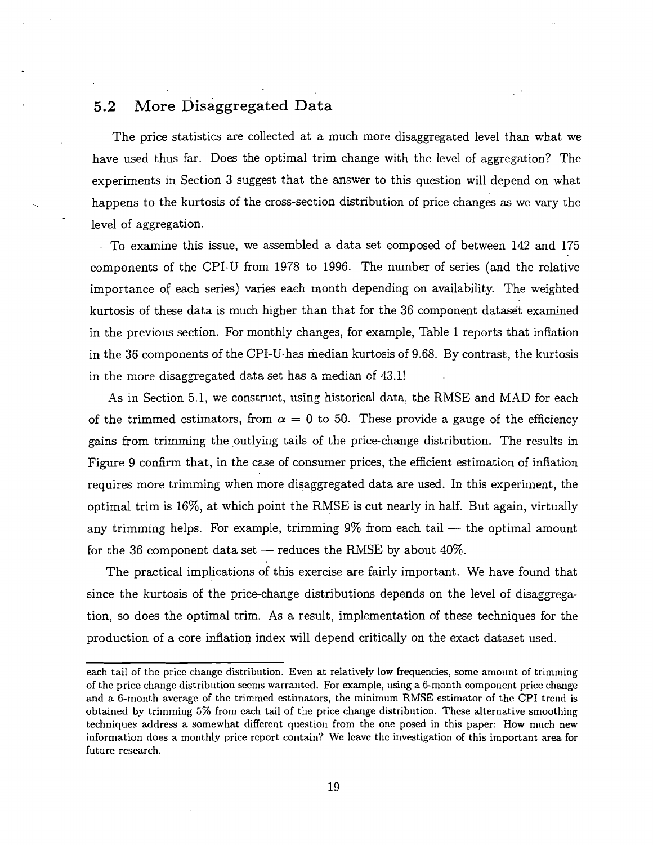### 5.2 More Disaggregated Data

The price statistics are collected at a much more disaggregated level than what we have used thus far. Does the optimal trim change with the level of aggregation? The experiments in Section **3** suggest that the answer to this question will depend on what happens to the kurtosis of the cross-section distribution of price changes as we vary the level of aggregation.

To examine this issue, we assembled a data set composed of between 142 and 175 components of the CPI-U from 1978 to 1996. The number of series (and the relative importance of each series) varies each month depending on availability. The weighted kurtosis of these data is much higher than that for the 36 component dataset examined in the previous section. For monthly changes, for example, Table 1 reports that inflation in the 36 components of the CPI-U.has median kurtosis of 9.68. By contrast, the kurtosis in the more disaggregated data set has a median cf 43.1!

As in Section 5.1, we construct, using historical data, the RMSE and MAD for each of the trimmed estimators, from  $\alpha = 0$  to 50. These provide a gauge of the efficiency gains from trimming the outlying tails of the price-change distribution. The results in Figure 9 confirm that, in the case of consumer prices, the efficient estimation of inflation requires more trimming when more disaggregated data are used. In this experiment, the optimal trim is 16%, at which point the RMSE is cut nearly in half. But again, virtually any trimming helps. For example, trimming  $9\%$  from each tail  $-$  the optimal amount for the 36 component data set  $-$  reduces the RMSE by about 40%.

The practical implications of this exercise are fairly important. We have found that since the kurtosis of the price-change distributions depends on the level of disaggregation, so does the optimal trim. As a result, implementation of these techniques for the production of a core inflation index will depend critically on the exact dataset used.

each tail of the price change distribution. Even at relatively low frequencies, some amount of trimming of the price change distribution secms warranted. For example, using a 6-month component price change and a 6-month average of the trimmed estimators, the minimum RMSE estimator of the CPI trend is obtained by trimming 5% from each tail of the price change distribution. These alternative smoothing techniques address a somewhat different question from the one posed in this paper: How much new information does a monthly price report contain? We leave the investigation of this important area for future research.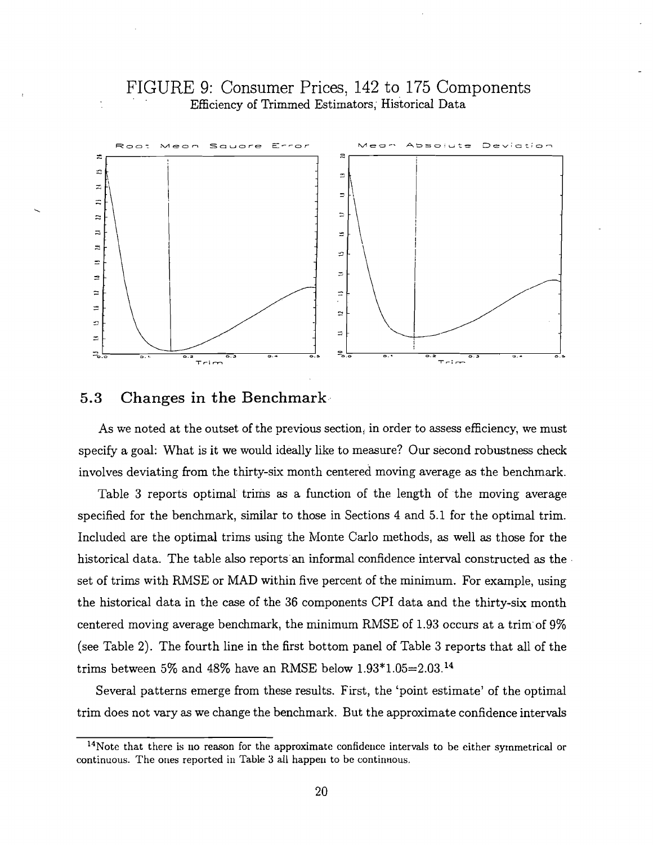## FIGURE 9: Consumer Prices, 142 to 175 Components Efficiency of Trimmed Estimators; Historical Data



### 5.3 Changes in the Benchmark

As we noted at the outset of the previous section, in order to assess efficiency, we must specify a goal: What is it we would ideally like to measure? Our second robustness check involves deviating from the thirty-six month centered moving average as the benchmark.

Table 3 reports optimal trims as a function of the length of the moving average specified for the benchmark, similar to those in Sections 4 and 5.1 for the optimal trim. Included are the optimal trims using the Monte Carlo methods, as well as those for the historical data. The table also reports an informal confidence interval constructed as the set of trims with RMSE or MAD within five percent of the minimum. For example, using the historical data in the case of the 36 components CPI data and the thirty-six month centered moving average benchmark, the minimum RMSE of 1.93 occurs at a trim'of 9% (see Table 2). The fourth line in the first bottom panel of Table 3 reports that all of the trims between 5% and 48% have an RMSE below  $1.93*1.05=2.03$ .<sup>14</sup>

Several patterns emerge from these results. First, the 'point estimate' of the optimal trim does not vary as we change the benchmark. But the approximate confidence intervals

 $14$ Note that there is no reason for the approximate confidence intervals to be either symmetrical or continuous. The ones reported in Table 3 all happen to be continuous.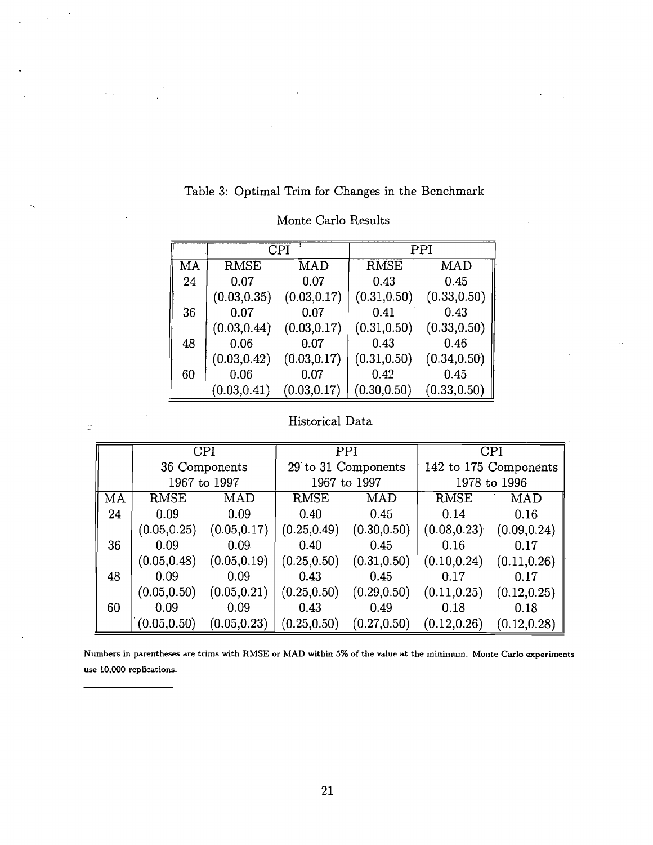|    | CPI          |              | PPI <sub>1</sub> |              |  |
|----|--------------|--------------|------------------|--------------|--|
| MA | <b>RMSE</b>  | MAD          | <b>RMSE</b>      | MAD          |  |
| 24 | 0.07         | 0.07         | 0.43             | 0.45         |  |
|    | (0.03, 0.35) | (0.03, 0.17) | (0.31, 0.50)     | (0.33, 0.50) |  |
| 36 | 0.07         | 0.07         | 0.41             | 0.43         |  |
|    | (0.03, 0.44) | (0.03, 0.17) | (0.31, 0.50)     | (0.33, 0.50) |  |
| 48 | 0.06         | 0.07         | 0.43             | 0.46         |  |
|    | (0.03, 0.42) | (0.03, 0.17) | (0.31, 0.50)     | (0.34, 0.50) |  |
| 60 | 0.06         | 0.07         | 0.42             | 0.45         |  |
|    | (0.03, 0.41) | (0.03, 0.17) | (0.30, 0.50)     | (0.33, 0.50) |  |

## Monte Carlo Results

Table 3: Optimal Trim for Changes in the Benchmark

# Historical Data

 $\tilde{\mathcal{Z}}$ 

|     | <b>CPI</b>    |              | PPI                 |              | CPI                   |              |  |
|-----|---------------|--------------|---------------------|--------------|-----------------------|--------------|--|
|     | 36 Components |              | 29 to 31 Components |              | 142 to 175 Components |              |  |
|     |               | 1967 to 1997 |                     | 1967 to 1997 |                       | 1978 to 1996 |  |
| MA. | RMSE          | MAD          | RMSE                | MAD          | RMSE                  | MAD          |  |
| 24  | 0.09          | 0.09         | 0.40                | 0.45         | 0.14                  | 0.16         |  |
|     | (0.05, 0.25)  | (0.05, 0.17) | (0.25, 0.49)        | (0.30, 0.50) | (0.08, 0.23)          | (0.09, 0.24) |  |
| 36  | 0.09          | 0.09         | 0.40                | 0.45         | 0.16                  | 0.17         |  |
|     | (0.05, 0.48)  | (0.05, 0.19) | (0.25, 0.50)        | (0.31, 0.50) | (0.10, 0.24)          | (0.11, 0.26) |  |
| 48  | 0.09          | 0.09         | 0.43                | 0.45         | 0.17                  | 0.17         |  |
|     | (0.05, 0.50)  | (0.05, 0.21) | (0.25, 0.50)        | (0.29, 0.50) | (0.11, 0.25)          | (0.12, 0.25) |  |
| 60  | 0.09          | 0.09         | 0.43                | 0.49         | 0.18                  | 0.18         |  |
|     | (0.05, 0.50)  | (0.05, 0.23) | (0.25, 0.50)        | (0.27, 0.50) | (0.12, 0.26)          | (0.12, 0.28) |  |

**Numbers in parentheses are trims with RMSE or MAD within 5% of the value at the minimum. Monte Carlo experiments use 10,000 replications.**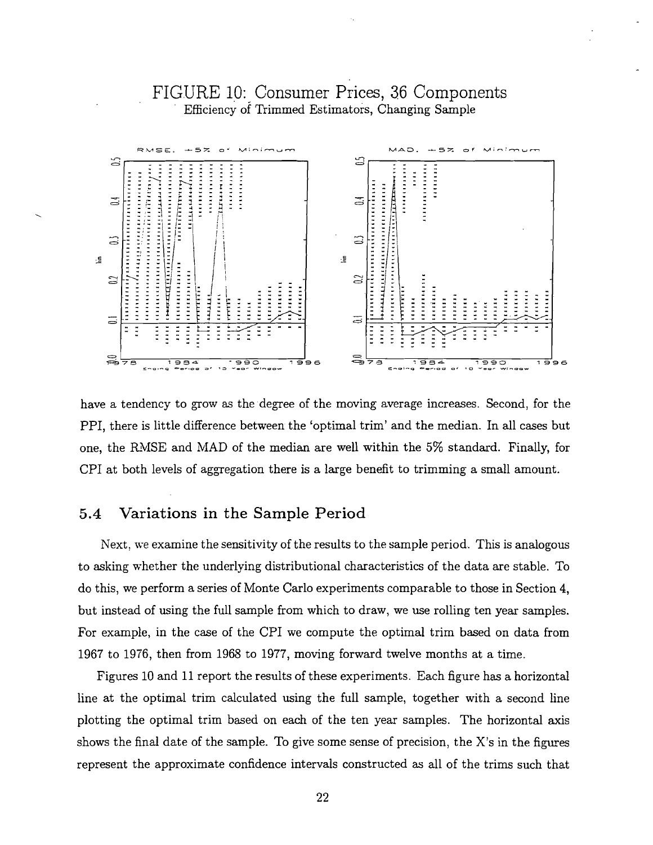# FIGURE 10: Consumer Prices, 36 Components Efficiency of Trimmed Estimators, Changing Sample



have a tendency to grow as the degree of the moving average increases. Second, for the PPI, there is little difference between the 'optimal trim' and the median. In all cases but one, the R%ISE and MAD of the median are well within the 5% standard. Finally, for CPI at both levels of aggregation there is a large benefit to trimming a small amount.

### **5.4** Variations in the Sample Period

Next, we examine the sensitivity of the results to the sample period.. This is analogous to asking whether the underlying distributional characteristics of the data are stable. To do this, we perform a series of Monte Carlo experiments comparable to those in Section 4, but instead of using the full sample from which to draw, we use rolling ten year samples. For example, in the case of the CPI we compute the optimal trim based on data from 1967 to 1976, then from 1968 to 1977, moving forward twelve months at a time.

Figures 10 and 11 report the results of these experiments. Each figure has a horizontal line at the optimal trim calculated using the full sample, together with a second line plotting the optimal trim based on each of the ten year samples. The horizontal axis shows the final date of the sample. To give some sense of precision, the X's in the figures represent the approximate confidence intervals constructed as all of the trims such that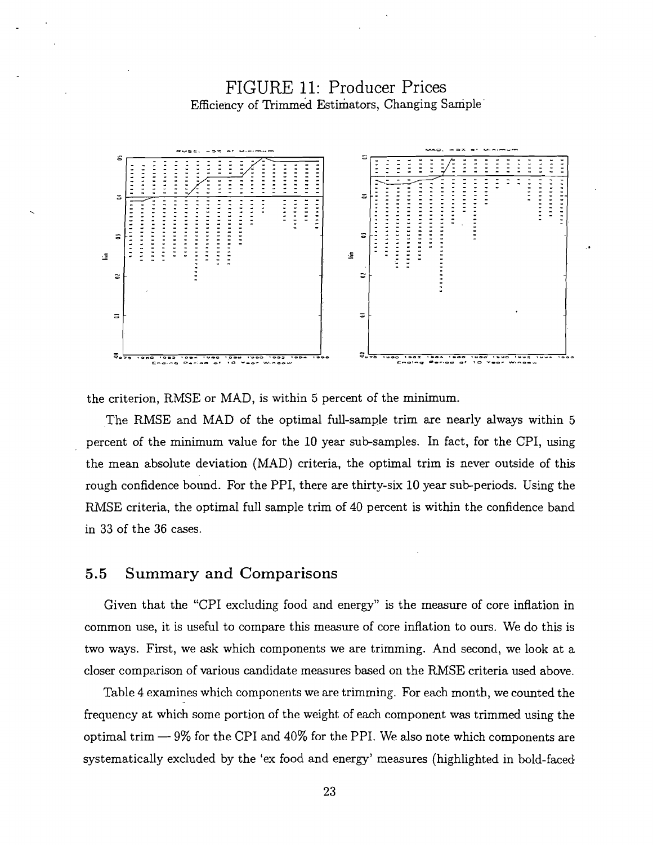# FIGURE 11: Producer Prices Efficiency of Trimmed Estimators, Changing Sample



the criterion, RMSE or MAD, is within 5 percent of the minimum.

The RMSE and MAD of the optimal full-sample trim are nearly always within 5 percent of the minimum value for the 10 year sub-samples. In fact, for the CPI, using the mean absolute deviation (MAD) criteria, the optimal trim is never outside of this rough confidence bound. For the PPI, there are thirty-six 10 year sub-periods. Using the RMSE criteria, the optimal full sample trim of 40 percent is within the confidence band in **33** of the 36 cases.

#### 5.5 Summary and Comparisons

Given that the "CPI excluding food and energy" is the measure of core inflation in common use, it is useful to compare this measure of core inflation to ours. We do this is two ways. First, we **ask** which components we are trimming. And second, we look at a closer comparison of various candidate measures based on the RMSE criteria used above.

Table 4 examines which components we are trimming. For each month, we counted the frequency at which some portion of the weight of each component was trimmed using the optimal trim —  $9\%$  for the CPI and  $40\%$  for the PPI. We also note which components are systematically excluded by the 'ex food and energy' measures (highlighted in bold-faced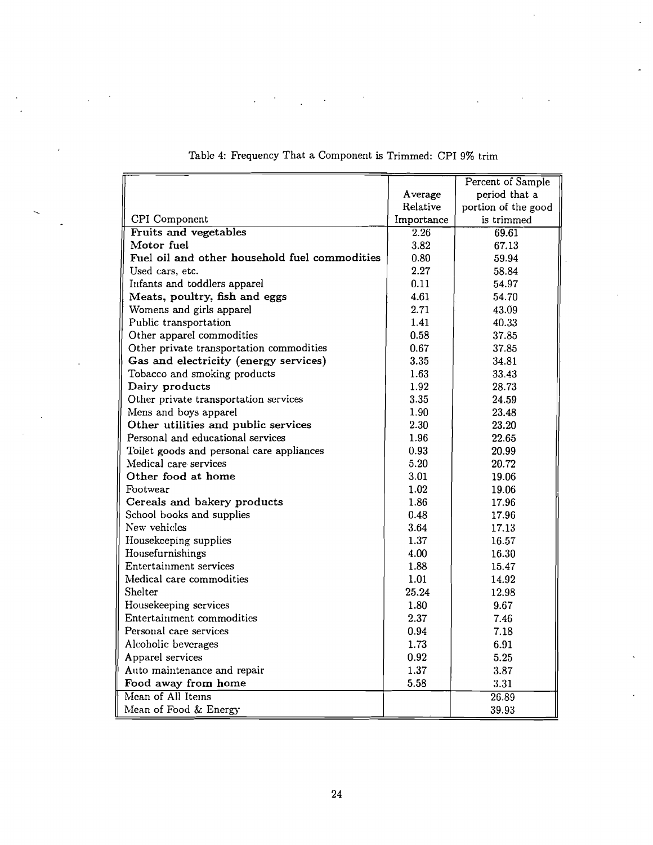|                                               |            | Percent of Sample   |
|-----------------------------------------------|------------|---------------------|
|                                               | Average    | period that a       |
|                                               | Relative   | portion of the good |
| CPI Component                                 | Importance | is trimmed          |
| Fruits and vegetables                         | 2.26       | 69.61               |
| Motor fuel                                    | 3.82       | 67.13               |
| Fuel oil and other household fuel commodities | 0.80       | 59.94               |
| Used cars, etc.                               | 2.27       | 58.84               |
| Infants and toddlers apparel                  | 0.11       | 54.97               |
| Meats, poultry, fish and eggs                 | 4.61       | 54.70               |
| Womens and girls apparel                      | 2.71       | 43.09               |
| Public transportation                         | 1.41       | 40.33               |
| Other apparel commodities                     | 0.58       | 37.85               |
| Other private transportation commodities      | 0.67       | 37.85               |
| Gas and electricity (energy services)         | 3.35       | 34.81               |
| Tobacco and smoking products                  | 1.63       | 33.43               |
| Dairy products                                | 1.92       | 28.73               |
| Other private transportation services         | 3.35       | 24.59               |
| Mens and boys apparel                         | 1.90       | 23.48               |
| Other utilities and public services           | 2.30       | 23.20               |
| Personal and educational services             | 1.96       | 22.65               |
| Toilet goods and personal care appliances     | 0.93       | 20.99               |
| Medical care services                         | 5.20       | 20.72               |
| Other food at home                            | 3.01       | 19.06               |
| Footwear                                      | 1.02       | 19.06               |
| Cereals and bakery products                   | 1.86       | 17.96               |
| School books and supplies                     | 0.48       | 17.96               |
| New vehicles                                  | 3.64       | 17.13               |
| Housekeeping supplies                         | 1.37       | 16.57               |
| Housefurnishings                              | 4.00       | 16.30               |
| Entertainment services                        | 1.88       | 15.47               |
| Medical care commodities                      | 1.01       | 14.92               |
| Shelter                                       | 25.24      | 12.98               |
| Housekeeping services                         | 1.80       | 9.67                |
| Entertainment commodities                     | 2.37       | 7.46                |
| Personal care services                        | 0.94       | 7.18                |
| Alcoholic beverages                           | 1.73       | 6.91                |
| Apparel services                              | 0.92       | 5.25                |
| Auto maintenance and repair                   | 1.37       | 3.87                |
| Food away from home                           | 5.58       | 3.31                |
| Mean of All Items                             |            | 26.89               |
| Mean of Food & Energy                         |            | 39.93               |

Table 4: Frequency That a Component is Trimmed: CPI 9% trim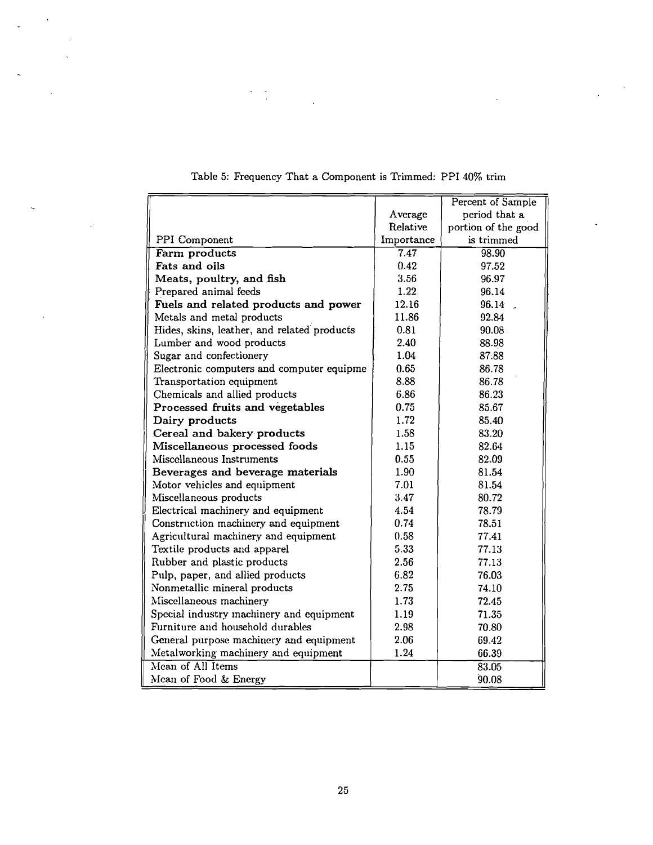|                                             |            | Percent of Sample   |
|---------------------------------------------|------------|---------------------|
|                                             | Average    | period that a       |
|                                             | Relative   | portion of the good |
| PPI Component                               | Importance | is trimmed          |
| Farm products                               | 7.47       | 98.90               |
| Fats and oils                               | 0.42       | 97.52               |
| Meats, poultry, and fish                    | 3.56       | 96.97               |
| Prepared animal feeds                       | 1.22.      | 96.14               |
| Fuels and related products and power        | 12.16      | 96.14.              |
| Metals and metal products                   | 11.86      | 92.84               |
| Hides, skins, leather, and related products | 0.81       | 90.08               |
| Lumber and wood products                    | 2.40       | 88.98               |
| Sugar and confectionery                     | 1.04       | 87.88               |
| Electronic computers and computer equipme   | 0.65       | 86.78               |
| Transportation equipment                    | 8.88       | 86.78               |
| Chemicals and allied products               | 6.86       | 86.23               |
| Processed fruits and vegetables             | 0.75       | 85.67               |
| Dairy products                              | 1.72       | 85.40               |
| Cereal and bakery products                  | 1.58       | 83.20               |
| Miscellaneous processed foods               | 1.15       | 82.64               |
| Miscellaneous Instruments                   | 0.55       | 82.09               |
| Beverages and beverage materials            | 1.90       | 81.54               |
| Motor vehicles and equipment                | 7.01       | 81.54               |
| Miscellaneous products                      | 3.47       | 80.72               |
| Electrical machinery and equipment          | 4.54       | 78.79               |
| Construction machinery and equipment        | 0.74       | 78.51               |
| Agricultural machinery and equipment        | 0.58       | 77.41               |
| Textile products and apparel                | 5.33       | 77.13               |
| Rubber and plastic products                 | 2.56       | 77.13               |
| Pulp, paper, and allied products            | 6.82       | 76.03               |
| Nonmetallic mineral products                | 2.75       | 74.10               |
| Miscellaneous machinery                     | 1.73       | 72.45               |
| Special industry machinery and equipment    | 1.19       | 71.35               |
| Furniture and household durables            | 2.98       | 70.80               |
| General purpose machinery and equipment     | 2.06       | 69.42               |
| Metalworking machinery and equipment        | 1.24       | 66.39               |
| Mean of All Items                           |            | 83.05               |
| Mean of Food & Energy                       |            | 90.08               |

Table 5: Frequency That a Component is Trimmed: PPI 40% trim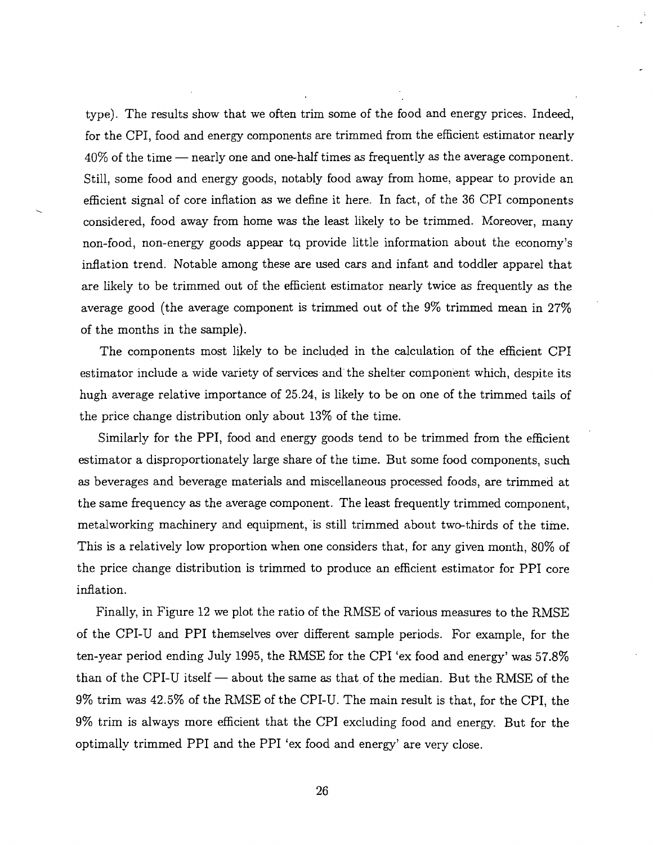type). The results show that we often trim some of the food and energy prices. Indeed, for the CPI, food and energy components are trimmed from the efficient estimator nearly  $40\%$  of the time — nearly one and one-half times as frequently as the average component. Still, some food and energy goods, notably food away from home, appear to provide an efficient signal of core inflation as we define it here. In fact, of the 36 CPI components considered, food away from home was the least likely to be trimmed. Moreover, many non-food, non-energy goods appear tq provide little information about the economy's inflation trend. Notable among these are used cars and infant and toddler apparel that are likely to be trimmed out of the efficient estimator nearly twice as frequently as the average good (the average component is trimmed out of the 9% trimmed mean in 27% of the months in the sample).

The components most likely to be included in the calculation of the efficient CPI estimator include a wide variety of services and the shelter component which, despite its hugh average relative importance of 25.24, is likely to be on one of the trimmed tails of the price change distribution only about 13% of the time.

Similarly for the PPI, food and energy goods tend to be trimmed from the efficient estimator a disproportionately large share of the time. But some food components, such as beverages and beverage materials and miscellaneous processed foods, are trimmed at the same frequency as the average component. The least frequently trimmed component, metalworking machinery and equipment, is still trimmed about two-thirds of the time. This is a relatively low proportion when one considers that, for any given month, 80% of the price change distribution is trimmed to produce an efficient estimator for PPI core inflation.

Finally, in Figure 12 we plot the ratio of the RMSE of various measures to the RMSE of the CPI-U and PPI themselves over different sample periods. For example, for the ten-year period ending July 1995, the RMSE for the CPI 'ex food and energy' was 57.8% than of the CPI-U itself  $-$  about the same as that of the median. But the RMSE of the 9% trim was 42.5% of the RMSE of the CPI-U. The main result is that, for the CPI, the 9% trim is always more efficient that the CPI excluding food and energy. But for the optimally trimmed PPI and the PPI 'ex food and energy' are very close.

26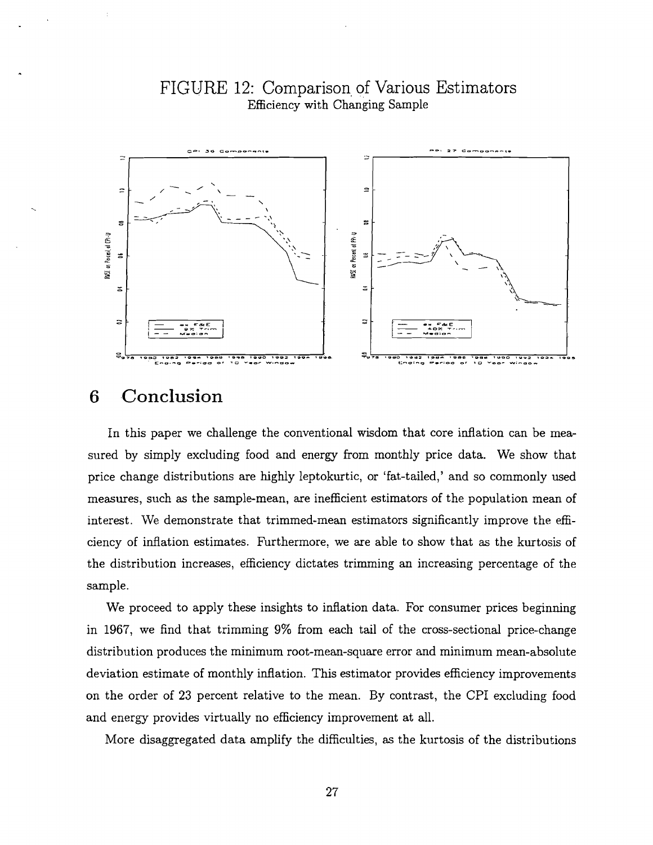

# FIGURE 12: Comparison of Various Estimators Efficiency with Changing Sample

#### Conclusion 6

In this paper we challenge the conventional wisdom that core inflation can be measured by simply excluding food and energy from monthly price data. We show that price change distributions are highly leptokurtic, or 'fat,-tailed,' and so commonly used measures, such as the sample-mean, are inefficient estimators of the population mean of interest. We demonstrate that trimmed-mean estimators significantly improve the efficiency of inflation estimates. Furthermore, we are able to show that as the kurtosis of the distribution increases, efficiency dictates trimming an increasing percentage of the sample.

We proceed to apply these insights to inflation data. For consumer prices beginning in 1967, we find that trimming 9% from each tail of the cross-sectional price-change distribution produces the minimum root-mean-square error and minimum mean-absolute deviation estimate of monthly inflation. This estimator provides efficiency improvements on the order of **23** percent relative to the mean. By contrast, the CPI excluding food and energy provides virtually no efficiency improvement at all.

More disaggregated data amplify the difficulties, as the kurtosis of the distributions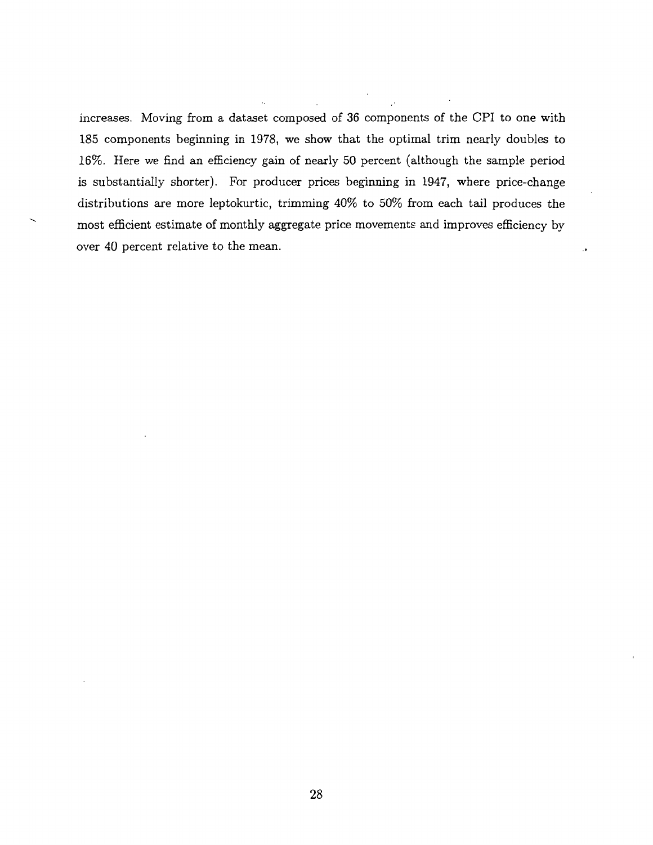increases. Moving from a dataset composed of *36* components of the CPI to one with 185 components beginning in 1978, we show that the optimal trim nearly doubles to 16%. Here we find an efficiency gain of nearly 50 percent (although the sample period is substantially shorter). For producer prices beginning in 1947, where price-change distributions are more leptokurtic, trimming 40% to 50% from each tail produces the is substantially shorter). For producer prices beginning in 1947, where price-change<br>distributions are more leptokurtic, trimming 40% to 50% from each tail produces the<br>most efficient estimate of monthly aggregate price mo over 40 percent relative to the mean.

 $\ddot{\phantom{0}}$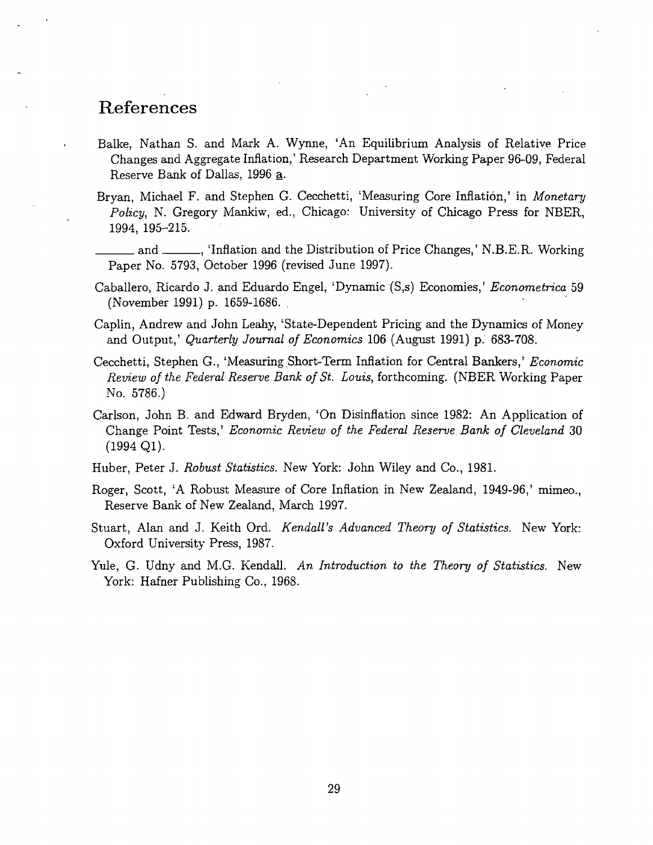# References

- Balke, Nathan S. and Mark A. Wynne, 'An Equilibrium Analysis of Relative. Price Changes and Aggregate Inflation,' Research Department Working Paper 96-09, Federal Reserve Bank of Dallas, 1996 **a.**
- Bryan, Michael F. and Stephen G. Cecchetti, 'Measuring Core Inflation,' in *Monetary Policy,* N. Gregory Mankiw, ed., Chicago: University of Chicago Press for NBER, 1994, 195-215.
- and, 'Inflation and the Distribution of Price Changes,' N.B.E.R. Working Paper No. 5793, October 1996 (revised June 1997).
- Caballero, Ricardo J. and Eduardo Engel, 'Dynamic (S,s) Economies,' *Econometrica* 59 (November 1991) p. 1659-1686.
- Caplin, Andrew and John Leahy, 'State-Dependent Pricing and the Dynamics of Money and Output,' *Quarterly Journal of Economics* 106 (August 1991) p. 683-708.
- Cecchetti, Stephen G., 'Measuring Short-Term Inflation for Central Bankers,' *Econ.omic Review of th,e Federal Reserve Bank of St. Louis,* forthcoming. (NBER Working Paper No. 5786.)
- Carlson, John B. and Edward Bryden, 'On Disinflation since 1982: An Application of Change Point Tests,' *Economic Review of the Federal Reserve Bank of Cleveland* 30  $(1994 \text{ Q1}).$
- Huber, Peter J. *Robust Statistics.* New York: John Wiley and Co., 1981.
- Roger, Scott, 'A Robust Measure of Core Inflation in New Zealand, 1949-96,' mimeo., Reserve Bank of New Zealand, March 1997.
- Stuart, Alan and J. Keith Ord. *Kendall's Advanced Theory of Statistics*. New York: Oxford University Press, 1987.
- Yule, G. Udny and M.G. Kendall. *An Introduction to the Theory of Statistics*. New York: Hafner Publishing Co., 1968.